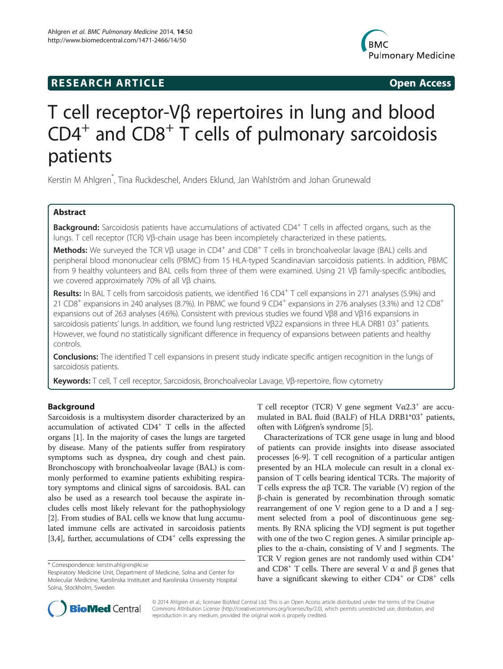## **RESEARCH ARTICLE Example 2014 CONSIDERING CONSIDERING CONSIDERING CONSIDERING CONSIDERING CONSIDERING CONSIDERING CONSIDERING CONSIDERING CONSIDERING CONSIDERING CONSIDERING CONSIDERING CONSIDERING CONSIDERING CONSIDE**



# T cell receptor-Vβ repertoires in lung and blood  $CD4^+$  and  $CD8^+$  T cells of pulmonary sarcoidosis patients

Kerstin M Ahlgren\* , Tina Ruckdeschel, Anders Eklund, Jan Wahlström and Johan Grunewald

## Abstract

Background: Sarcoidosis patients have accumulations of activated CD4+ T cells in affected organs, such as the lungs. T cell receptor (TCR) Vβ-chain usage has been incompletely characterized in these patients.

Methods: We surveyed the TCR Vβ usage in CD4<sup>+</sup> and CD8<sup>+</sup> T cells in bronchoalveolar lavage (BAL) cells and peripheral blood mononuclear cells (PBMC) from 15 HLA-typed Scandinavian sarcoidosis patients. In addition, PBMC from 9 healthy volunteers and BAL cells from three of them were examined. Using 21 Vβ family-specific antibodies, we covered approximately 70% of all Vβ chains.

Results: In BAL T cells from sarcoidosis patients, we identified 16 CD4<sup>+</sup> T cell expansions in 271 analyses (5.9%) and 21 CD8<sup>+</sup> expansions in 240 analyses (8.7%). In PBMC we found 9 CD4<sup>+</sup> expansions in 276 analyses (3.3%) and 12 CD8<sup>+</sup> expansions out of 263 analyses (4.6%). Consistent with previous studies we found Vβ8 and Vβ16 expansions in sarcoidosis patients' lungs. In addition, we found lung restricted Vβ22 expansions in three HLA DRB1 03<sup>+</sup> patients. However, we found no statistically significant difference in frequency of expansions between patients and healthy controls.

**Conclusions:** The identified T cell expansions in present study indicate specific antigen recognition in the lungs of sarcoidosis patients.

Keywords: T cell, T cell receptor, Sarcoidosis, Bronchoalveolar Lavage, Vβ-repertoire, flow cytometry

## Background

Sarcoidosis is a multisystem disorder characterized by an accumulation of activated CD4<sup>+</sup> T cells in the affected organs [[1](#page-10-0)]. In the majority of cases the lungs are targeted by disease. Many of the patients suffer from respiratory symptoms such as dyspnea, dry cough and chest pain. Bronchoscopy with bronchoalveolar lavage (BAL) is commonly performed to examine patients exhibiting respiratory symptoms and clinical signs of sarcoidosis. BAL can also be used as a research tool because the aspirate includes cells most likely relevant for the pathophysiology [[2\]](#page-10-0). From studies of BAL cells we know that lung accumulated immune cells are activated in sarcoidosis patients [[3,4](#page-10-0)], further, accumulations of  $CD4^+$  cells expressing the

T cell receptor (TCR) V gene segment  $V\alpha2.3^+$  are accumulated in BAL fluid (BALF) of HLA DRB1\*03+ patients, often with Löfgren's syndrome [[5\]](#page-10-0).

Characterizations of TCR gene usage in lung and blood of patients can provide insights into disease associated processes [\[6](#page-10-0)-[9](#page-10-0)]. T cell recognition of a particular antigen presented by an HLA molecule can result in a clonal expansion of T cells bearing identical TCRs. The majority of T cells express the  $\alpha\beta$  TCR. The variable (V) region of the β-chain is generated by recombination through somatic rearrangement of one V region gene to a D and a J segment selected from a pool of discontinuous gene segments. By RNA splicing the VDJ segment is put together with one of the two C region genes. A similar principle applies to the  $\alpha$ -chain, consisting of V and J segments. The TCR V region genes are not randomly used within CD4<sup>+</sup> and CD8<sup>+</sup> T cells. There are several V  $\alpha$  and β genes that have a significant skewing to either  $CD4^+$  or  $CD8^+$  cells



© 2014 Ahlgren et al.; licensee BioMed Central Ltd. This is an Open Access article distributed under the terms of the Creative Commons Attribution License [\(http://creativecommons.org/licenses/by/2.0\)](http://creativecommons.org/licenses/by/2.0), which permits unrestricted use, distribution, and reproduction in any medium, provided the original work is properly credited.

<sup>\*</sup> Correspondence: [kerstin.ahlgren@ki.se](mailto:kerstin.ahlgren@ki.se)

Respiratory Medicine Unit, Department of Medicine, Solna and Center for Molecular Medicine, Karolinska Institutet and Karolinska University Hospital Solna, Stockholm, Sweden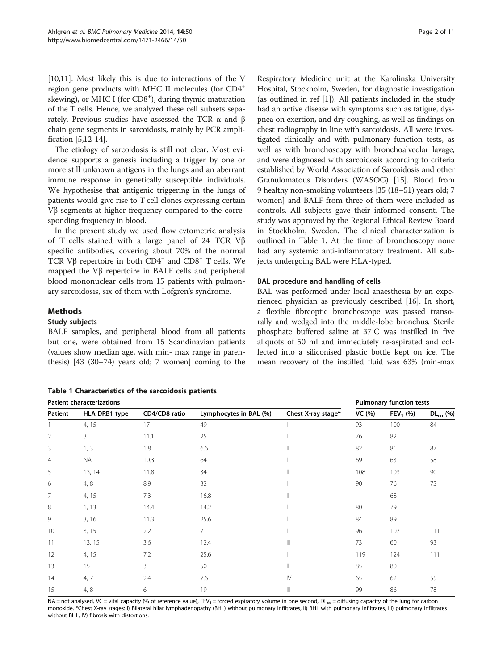<span id="page-1-0"></span>[[10,11](#page-10-0)]. Most likely this is due to interactions of the V region gene products with MHC II molecules (for CD4+ skewing), or MHC I (for CD8<sup>+</sup>), during thymic maturation of the T cells. Hence, we analyzed these cell subsets separately. Previous studies have assessed the TCR  $\alpha$  and  $\beta$ chain gene segments in sarcoidosis, mainly by PCR amplification [\[5,12-14\]](#page-10-0).

The etiology of sarcoidosis is still not clear. Most evidence supports a genesis including a trigger by one or more still unknown antigens in the lungs and an aberrant immune response in genetically susceptible individuals. We hypothesise that antigenic triggering in the lungs of patients would give rise to T cell clones expressing certain Vβ-segments at higher frequency compared to the corresponding frequency in blood.

In the present study we used flow cytometric analysis of T cells stained with a large panel of 24 TCR Vβ specific antibodies, covering about 70% of the normal TCR V $\beta$  repertoire in both CD4<sup>+</sup> and CD8<sup>+</sup> T cells. We mapped the Vβ repertoire in BALF cells and peripheral blood mononuclear cells from 15 patients with pulmonary sarcoidosis, six of them with Löfgren's syndrome.

#### Methods

#### Study subjects

BALF samples, and peripheral blood from all patients but one, were obtained from 15 Scandinavian patients (values show median age, with min- max range in parenthesis) [43 (30–74) years old; 7 women] coming to the

Table 1 Characteristics of the sarcoidosis patients

Respiratory Medicine unit at the Karolinska University Hospital, Stockholm, Sweden, for diagnostic investigation (as outlined in ref [[1](#page-10-0)]). All patients included in the study had an active disease with symptoms such as fatigue, dyspnea on exertion, and dry coughing, as well as findings on chest radiography in line with sarcoidosis. All were investigated clinically and with pulmonary function tests, as well as with bronchoscopy with bronchoalveolar lavage, and were diagnosed with sarcoidosis according to criteria established by World Association of Sarcoidosis and other Granulomatous Disorders (WASOG) [\[15\]](#page-10-0). Blood from 9 healthy non-smoking volunteers [35 (18–51) years old; 7 women] and BALF from three of them were included as controls. All subjects gave their informed consent. The study was approved by the Regional Ethical Review Board in Stockholm, Sweden. The clinical characterization is outlined in Table 1. At the time of bronchoscopy none had any systemic anti-inflammatory treatment. All subjects undergoing BAL were HLA-typed.

#### BAL procedure and handling of cells

BAL was performed under local anaesthesia by an experienced physician as previously described [[16](#page-10-0)]. In short, a flexible fibreoptic bronchoscope was passed transorally and wedged into the middle-lobe bronchus. Sterile phosphate buffered saline at 37°C was instilled in five aliquots of 50 ml and immediately re-aspirated and collected into a siliconised plastic bottle kept on ice. The mean recovery of the instilled fluid was 63% (min-max

| <b>Patient characterizations</b> |           |               |                        |                        | <b>Pulmonary function tests</b> |             |               |
|----------------------------------|-----------|---------------|------------------------|------------------------|---------------------------------|-------------|---------------|
| Patient<br>HLA DRB1 type         |           | CD4/CD8 ratio | Lymphocytes in BAL (%) | Chest X-ray stage*     | VC (%)                          | $FEV_1$ (%) | $DL_{co}$ (%) |
|                                  | 4, 15     | 17            | 49                     |                        | 93                              | 100         | 84            |
| $\overline{2}$                   | 3         | 11.1          | 25                     |                        | 76                              | 82          |               |
| 3                                | 1, 3      | 1.8           | 6.6                    | $\mathbb{I}$           | 82                              | 81          | 87            |
| 4                                | <b>NA</b> | 10.3          | 64                     |                        | 69                              | 63          | 58            |
| 5                                | 13, 14    | 11.8          | 34                     | Ш                      | 108                             | 103         | 90            |
| 6                                | 4, 8      | 8.9           | 32                     |                        | 90                              | 76          | 73            |
| 7                                | 4, 15     | 7.3           | 16.8                   | Ш                      |                                 | 68          |               |
| 8                                | 1, 13     | 14.4          | 14.2                   |                        | 80                              | 79          |               |
| 9                                | 3, 16     | 11.3          | 25.6                   |                        | 84                              | 89          |               |
| 10                               | 3, 15     | 2.2           | $\overline{7}$         |                        | 96                              | 107         | 111           |
| 11                               | 13, 15    | 3.6           | 12.4                   | $\  \ $                | 73                              | 60          | 93            |
| 12                               | 4, 15     | 7.2           | 25.6                   |                        | 119                             | 124         | 111           |
| 13                               | 15        | 3             | 50                     | $\mathbb{I}$           | 85                              | 80          |               |
| 14                               | 4, 7      | 2.4           | 7.6                    | $\mathsf{I}\mathsf{V}$ | 65                              | 62          | 55            |
| 15                               | 4, 8      | 6             | 19                     | $\  \ $                | 99                              | 86          | 78            |

NA = not analysed, VC = vital capacity (% of reference value), FEV<sub>1</sub> = forced expiratory volume in one second, DL<sub>co</sub> = diffusing capacity of the lung for carbon monoxide. \*Chest X-ray stages: I) Bilateral hilar lymphadenopathy (BHL) without pulmonary infiltrates, II) BHL with pulmonary infiltrates, III) pulmonary infiltrates without BHL, IV) fibrosis with distortions.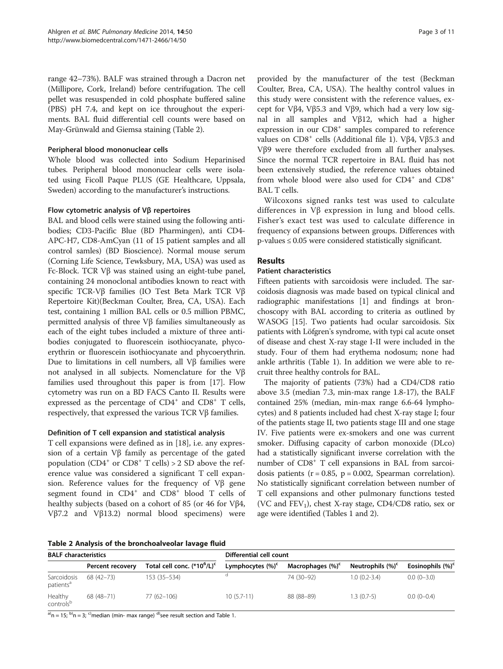range 42–73%). BALF was strained through a Dacron net (Millipore, Cork, Ireland) before centrifugation. The cell pellet was resuspended in cold phosphate buffered saline (PBS) pH 7.4, and kept on ice throughout the experiments. BAL fluid differential cell counts were based on May-Grünwald and Giemsa staining (Table 2).

#### Peripheral blood mononuclear cells

Whole blood was collected into Sodium Heparinised tubes. Peripheral blood mononuclear cells were isolated using Ficoll Paque PLUS (GE Healthcare, Uppsala, Sweden) according to the manufacturer's instructions.

## Flow cytometric analysis of Vβ repertoires

BAL and blood cells were stained using the following antibodies; CD3-Pacific Blue (BD Pharmingen), anti CD4- APC-H7, CD8-AmCyan (11 of 15 patient samples and all control samles) (BD Bioscience). Normal mouse serum (Corning Life Science, Tewksbury, MA, USA) was used as Fc-Block. TCR Vβ was stained using an eight-tube panel, containing 24 monoclonal antibodies known to react with specific TCR-Vβ families (IO Test Beta Mark TCR Vβ Repertoire Kit)(Beckman Coulter, Brea, CA, USA). Each test, containing 1 million BAL cells or 0.5 million PBMC, permitted analysis of three Vβ families simultaneously as each of the eight tubes included a mixture of three antibodies conjugated to fluorescein isothiocyanate, phycoerythrin or fluorescein isothiocyanate and phycoerythrin. Due to limitations in cell numbers, all Vβ families were not analysed in all subjects. Nomenclature for the Vβ families used throughout this paper is from [\[17](#page-10-0)]. Flow cytometry was run on a BD FACS Canto II. Results were expressed as the percentage of  $CD4^+$  and  $CD8^+$  T cells, respectively, that expressed the various TCR Vβ families.

## Definition of T cell expansion and statistical analysis

T cell expansions were defined as in [[18\]](#page-10-0), i.e. any expression of a certain Vβ family as percentage of the gated population ( $CD4^+$  or  $CD8^+$  T cells) > 2 SD above the reference value was considered a significant T cell expansion. Reference values for the frequency of  $Vβ$  gene segment found in CD4<sup>+</sup> and CD8<sup>+</sup> blood T cells of healthy subjects (based on a cohort of 85 (or 46 for Vβ4, Vβ7.2 and Vβ13.2) normal blood specimens) were

Table 2 Analysis of the bronchoalveolar lavage fluid

| <b>BALF</b> characteristics          |                         |                                                     | Differential cell count |                      |                              |                      |  |  |
|--------------------------------------|-------------------------|-----------------------------------------------------|-------------------------|----------------------|------------------------------|----------------------|--|--|
|                                      | <b>Percent recovery</b> | Total cell conc. (*10 <sup>6</sup> /L) <sup>c</sup> | Lymphocytes $(\%)^c$    | Macrophages $(\%)^c$ | Neutrophils (%) <sup>c</sup> | Eosinophils $(\%)^c$ |  |  |
| Sarcoidosis<br>patients <sup>a</sup> | 68 (42–73)              | 153 (35–534)                                        |                         | 74 (30-92)           | $1.0(0.2 - 3.4)$             | $0.0(0-3.0)$         |  |  |
| Healthy<br>controlsb                 | 68 (48-71)              | $77(62 - 106)$                                      | $10(5.7-11)$            | 88 (88-89)           | $1.3(0.7-5)$                 | $0.0(0-0.4)$         |  |  |

 $a^3$ n = 15; <sup>b</sup>,n = 3; <sup>c</sup>,median (min- max range) <sup>d</sup>, see result section and Table [1.](#page-1-0)

provided by the manufacturer of the test (Beckman Coulter, Brea, CA, USA). The healthy control values in this study were consistent with the reference values, except for Vβ4, Vβ5.3 and Vβ9, which had a very low signal in all samples and Vβ12, which had a higher expression in our CD8<sup>+</sup> samples compared to reference values on  $CD8<sup>+</sup>$  cells (Additional file [1\)](#page-9-0). Vβ4, Vβ5.3 and Vβ9 were therefore excluded from all further analyses. Since the normal TCR repertoire in BAL fluid has not been extensively studied, the reference values obtained from whole blood were also used for  $CD4^+$  and  $CD8^+$ BAL T cells.

Wilcoxons signed ranks test was used to calculate differences in Vβ expression in lung and blood cells. Fisher's exact test was used to calculate difference in frequency of expansions between groups. Differences with p-values ≤ 0.05 were considered statistically significant.

## Results

## Patient characteristics

Fifteen patients with sarcoidosis were included. The sarcoidosis diagnosis was made based on typical clinical and radiographic manifestations [[1\]](#page-10-0) and findings at bronchoscopy with BAL according to criteria as outlined by WASOG [[15\]](#page-10-0). Two patients had ocular sarcoidosis. Six patients with Löfgren's syndrome, with typi cal acute onset of disease and chest X-ray stage I-II were included in the study. Four of them had erythema nodosum; none had ankle arthritis (Table [1\)](#page-1-0). In addition we were able to recruit three healthy controls for BAL.

The majority of patients (73%) had a CD4/CD8 ratio above 3.5 (median 7.3, min-max range 1.8-17), the BALF contained 25% (median, min-max range 6.6-64 lymphocytes) and 8 patients included had chest X-ray stage I; four of the patients stage II, two patients stage III and one stage IV. Five patients were ex-smokers and one was current smoker. Diffusing capacity of carbon monoxide (DLco) had a statistically significant inverse correlation with the number of CD8+ T cell expansions in BAL from sarcoidosis patients ( $r = 0.85$ ,  $p = 0.002$ , Spearman correlation). No statistically significant correlation between number of T cell expansions and other pulmonary functions tested (VC and  $FEV_1$ ), chest X-ray stage, CD4/CD8 ratio, sex or age were identified (Tables [1](#page-1-0) and 2).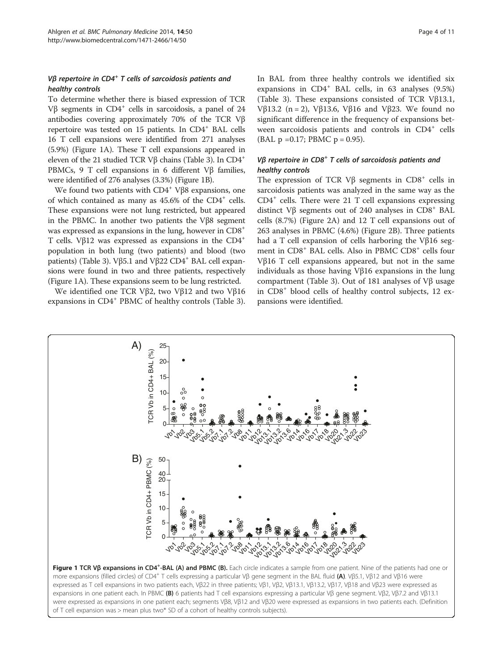#### Vβ repertoire in CD4<sup>+</sup> T cells of sarcoidosis patients and healthy controls

To determine whether there is biased expression of TCR Vβ segments in CD4+ cells in sarcoidosis, a panel of 24 antibodies covering approximately 70% of the TCR Vβ repertoire was tested on 15 patients. In CD4<sup>+</sup> BAL cells 16 T cell expansions were identified from 271 analyses (5.9%) (Figure 1A). These T cell expansions appeared in eleven of the 21 studied TCR Vβ chains (Table [3](#page-4-0)). In CD4+ PBMCs, 9 T cell expansions in 6 different Vβ families, were identified of 276 analyses (3.3%) (Figure 1B).

We found two patients with  $CD4^+$  Vβ8 expansions, one of which contained as many as  $45.6\%$  of the CD4<sup>+</sup> cells. These expansions were not lung restricted, but appeared in the PBMC. In another two patients the Vβ8 segment was expressed as expansions in the lung, however in CD8<sup>+</sup> T cells. V $\beta$ 12 was expressed as expansions in the CD4<sup>+</sup> population in both lung (two patients) and blood (two patients) (Table [3](#page-4-0)). Vβ5.1 and Vβ22 CD4<sup>+</sup> BAL cell expansions were found in two and three patients, respectively (Figure 1A). These expansions seem to be lung restricted.

We identified one TCR Vβ2, two Vβ12 and two Vβ16 expansions in CD4<sup>+</sup> PBMC of healthy controls (Table [3](#page-4-0)). In BAL from three healthy controls we identified six expansions in  $CD4^+$  BAL cells, in 63 analyses (9.5%) (Table [3\)](#page-4-0). These expansions consisted of TCR Vβ13.1, Vβ13.2 (n = 2), Vβ13.6, Vβ16 and Vβ23. We found no significant difference in the frequency of expansions between sarcoidosis patients and controls in CD4<sup>+</sup> cells (BAL  $p = 0.17$ ; PBMC  $p = 0.95$ ).

## Vβ repertoire in CD8<sup>+</sup> T cells of sarcoidosis patients and healthy controls

The expression of TCR V $\beta$  segments in CD8<sup>+</sup> cells in sarcoidosis patients was analyzed in the same way as the  $CD4<sup>+</sup>$  cells. There were 21 T cell expansions expressing distinct Vβ segments out of 240 analyses in  $CD8^+$  BAL cells (8.7%) (Figure [2](#page-6-0)A) and 12 T cell expansions out of 263 analyses in PBMC (4.6%) (Figure [2B](#page-6-0)). Three patients had a T cell expansion of cells harboring the Vβ16 segment in CD8<sup>+</sup> BAL cells. Also in PBMC CD8<sup>+</sup> cells four Vβ16 T cell expansions appeared, but not in the same individuals as those having Vβ16 expansions in the lung compartment (Table [3\)](#page-4-0). Out of 181 analyses of Vβ usage in CD8<sup>+</sup> blood cells of healthy control subjects, 12 expansions were identified.



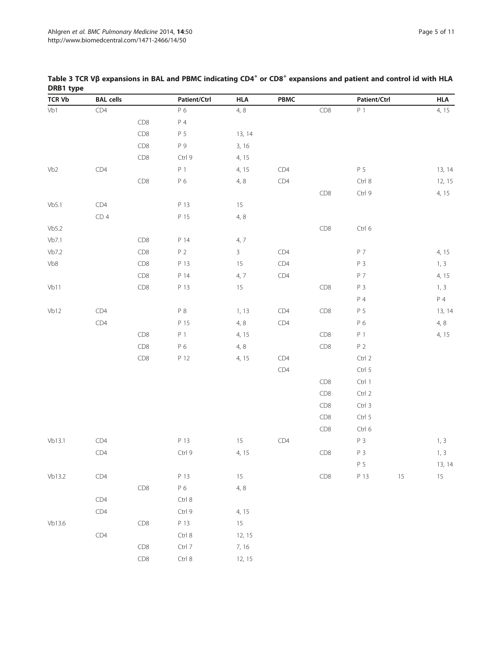| <b>TCR Vb</b><br><b>BAL cells</b><br>Patient/Ctrl<br><b>HLA</b><br>PBMC | Patient/Ctrl   | <b>HLA</b> |
|-------------------------------------------------------------------------|----------------|------------|
| CD4<br>P 6<br>4, 8<br>Vb1<br>CD8                                        | $P_1$          | 4, 15      |
| $P_4$<br>CD <sub>8</sub>                                                |                |            |
| CD8<br>P <sub>5</sub><br>13, 14                                         |                |            |
| P 9<br>CD8<br>3, 16                                                     |                |            |
| CD <sub>8</sub><br>Ctrl 9<br>4, 15                                      |                |            |
| Vb2<br>CD4<br>$P_1$<br>4, 15<br>CD4                                     | P 5            | 13, 14     |
| CD8<br>P 6<br>4, 8<br>CD4                                               | Ctrl 8         | 12, 15     |
| CD <sub>8</sub>                                                         | Ctrl 9         | 4, 15      |
| Vb5.1<br>CD4<br>P 13<br>15                                              |                |            |
| CD4<br>P 15<br>4, 8                                                     |                |            |
| CD8<br>Vb5.2                                                            | Ctrl 6         |            |
| Vb7.1<br>CD8<br>P 14<br>4, 7                                            |                |            |
| Vb7.2<br>CD8<br>$\mathbf{3}$<br>CD4<br>P 2                              | P 7            | 4, 15      |
| Vb8<br>CD4<br>CD <sub>8</sub><br>P 13<br>15                             | P 3            | 1, 3       |
| CD8<br>P 14<br>4, 7<br>CD4                                              | P 7            | 4, 15      |
| CD8<br>Vb11<br>P 13<br>15<br>CD8                                        | $P_3$          | 1, 3       |
|                                                                         | P 4            | $P_4$      |
| CD4<br>${\sf P}$ 8<br>CD4<br>CD8<br>Vb12<br>1, 13                       | P 5            | 13, 14     |
| CD4<br>P 15<br>4, 8<br>CD4                                              | P 6            | 4, 8       |
| CD <sub>8</sub><br>P <sub>1</sub><br>4, 15<br>CD <sub>8</sub>           | $\mathsf{P}$ 1 | 4, 15      |
| 4,8<br>CD8<br>P 6<br>CD8                                                | P 2            |            |
| CD8<br>P 12<br>4, 15<br>CD4                                             | Ctrl 2         |            |
| CD4                                                                     | Ctrl 5         |            |
| CD8                                                                     | Ctrl 1         |            |
| CD8                                                                     | Ctrl 2         |            |
| CD <sub>8</sub>                                                         | Ctrl 3         |            |
| CD8                                                                     | Ctrl 5         |            |
| CD8                                                                     | Ctrl 6         |            |
| $15\,$<br>CD4<br>Vb13.1<br>CD4<br>P 13                                  | P 3            | 1, 3       |
| CD4<br>Ctrl 9<br>4, 15<br>CD8                                           | $P_3$          | 1, 3       |
|                                                                         | P 5            | 13, 14     |
| Vb13.2<br>CD4<br>P 13<br>15<br>CD <sub>8</sub>                          | P 13<br>15     | 15         |
| 4,8<br>CD8<br>P 6                                                       |                |            |
| CD4<br>Ctrl 8                                                           |                |            |
| CD4<br>Ctrl 9<br>4, 15                                                  |                |            |
| Vb13.6<br>CD8<br>P 13<br>$15\,$                                         |                |            |
| CD4<br>Ctrl 8<br>12, 15                                                 |                |            |
| CD <sub>8</sub><br>Ctrl 7<br>7, 16                                      |                |            |
| CD8<br>Ctrl 8<br>12, 15                                                 |                |            |

## <span id="page-4-0"></span>Table 3 TCR Vß expansions in BAL and PBMC indicating CD4<sup>+</sup> or CD8<sup>+</sup> expansions and patient and control id with HLA DRB1 type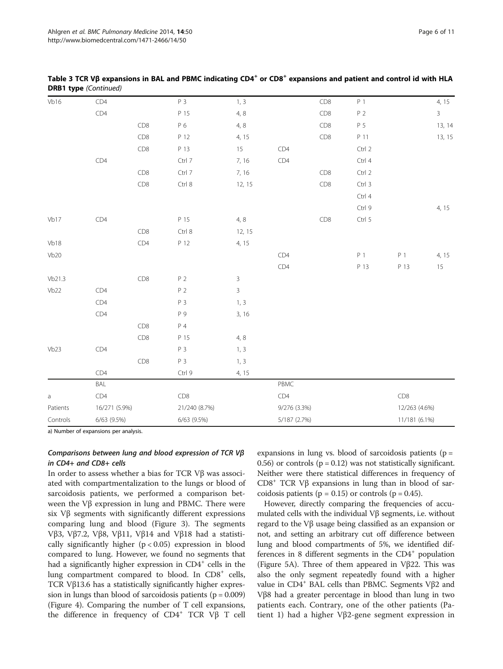| . .              |               |                 |                |              |      |                 |                |                |                |  |
|------------------|---------------|-----------------|----------------|--------------|------|-----------------|----------------|----------------|----------------|--|
| Vb16             | CD4           |                 | P 3            | 1, 3         |      | CD8             | $P_1$          |                | 4, 15          |  |
|                  | CD4           |                 | P 15           | 4,8          |      | CD8             | P <sub>2</sub> |                | $\overline{3}$ |  |
|                  |               | CD8             | P 6            | 4,8          |      | CD <sub>8</sub> | P 5            |                | 13, 14         |  |
|                  |               | CD8             | P 12           | 4, 15        |      | CD8             | P 11           |                | 13, 15         |  |
|                  |               | CD8             | P 13           | 15           | CD4  |                 | Ctrl 2         |                |                |  |
|                  | CD4           |                 | Ctrl 7         | 7, 16        | CD4  |                 | Ctrl 4         |                |                |  |
|                  |               | CD <sub>8</sub> | Ctrl 7         | 7, 16        |      | CD <sub>8</sub> | Ctrl 2         |                |                |  |
|                  |               | CD8             | Ctrl 8         | 12, 15       |      | CD8             | Ctrl 3         |                |                |  |
|                  |               |                 |                |              |      |                 | Ctrl 4         |                |                |  |
|                  |               |                 |                |              |      |                 | Ctrl 9         |                | 4, 15          |  |
| Vb17             | CD4           |                 | P 15           | 4, 8         |      | CD8             | Ctrl 5         |                |                |  |
|                  |               | CD8             | Ctrl 8         | 12, 15       |      |                 |                |                |                |  |
| Vb18             |               | CD4             | P 12           | 4, 15        |      |                 |                |                |                |  |
| Vb <sub>20</sub> |               |                 |                |              | CD4  |                 | $P_1$          | P <sub>1</sub> | 4, 15          |  |
|                  |               |                 |                |              | CD4  |                 | P 13           | P 13           | $15\,$         |  |
| Vb21.3           |               | CD8             | P <sub>2</sub> | 3            |      |                 |                |                |                |  |
| Vb22             | CD4           |                 | P 2            | $\mathbf{3}$ |      |                 |                |                |                |  |
|                  | CD4           |                 | P 3            | 1, 3         |      |                 |                |                |                |  |
|                  | CD4           |                 | P 9            | 3, 16        |      |                 |                |                |                |  |
|                  |               | CD8             | P 4            |              |      |                 |                |                |                |  |
|                  |               | CD8             | P 15           | 4, 8         |      |                 |                |                |                |  |
| Vb23             | CD4           |                 | P 3            | 1, 3         |      |                 |                |                |                |  |
|                  |               | CD8             | P 3            | 1, 3         |      |                 |                |                |                |  |
|                  | CD4           |                 | Ctrl 9         | 4, 15        |      |                 |                |                |                |  |
|                  | BAL           |                 |                |              | PBMC |                 |                |                |                |  |
| a                | CD4           |                 | CD8            |              | CD4  |                 |                | CD8            |                |  |
| Patients         | 16/271 (5.9%) |                 | 21/240 (8.7%)  |              |      | 9/276 (3.3%)    |                |                | 12/263 (4.6%)  |  |
| Controls         | 6/63 (9.5%)   |                 | 6/63 (9.5%)    |              |      | 5/187 (2.7%)    |                |                | 11/181 (6.1%)  |  |
|                  |               |                 |                |              |      |                 |                |                |                |  |

#### Table 3 TCR Vβ expansions in BAL and PBMC indicating CD4<sup>+</sup> or CD8<sup>+</sup> expansions and patient and control id with HLA DRB1 type (Continued)

a) Number of expansions per analysis.

## Comparisons between lung and blood expression of TCR Vβ in CD4+ and CD8+ cells

In order to assess whether a bias for TCR Vβ was associated with compartmentalization to the lungs or blood of sarcoidosis patients, we performed a comparison between the  $Vβ$  expression in lung and PBMC. There were six Vβ segments with significantly different expressions comparing lung and blood (Figure [3](#page-7-0)). The segments Vβ3, Vβ7.2, Vβ8, Vβ11, Vβ14 and Vβ18 had a statistically significantly higher  $(p < 0.05)$  expression in blood compared to lung. However, we found no segments that had a significantly higher expression in  $CD4^+$  cells in the lung compartment compared to blood. In  $CDS<sup>+</sup>$  cells, TCR Vβ13.6 has a statistically significantly higher expression in lungs than blood of sarcoidosis patients  $(p = 0.009)$ (Figure [4](#page-8-0)). Comparing the number of T cell expansions, the difference in frequency of  $CD4^+$  TCR Vβ T cell

expansions in lung vs. blood of sarcoidosis patients ( $p =$ 0.56) or controls  $(p = 0.12)$  was not statistically significant. Neither were there statistical differences in frequency of CD8+ TCR Vβ expansions in lung than in blood of sarcoidosis patients ( $p = 0.15$ ) or controls ( $p = 0.45$ ).

However, directly comparing the frequencies of accumulated cells with the individual Vβ segments, i.e. without regard to the Vβ usage being classified as an expansion or not, and setting an arbitrary cut off difference between lung and blood compartments of 5%, we identified differences in 8 different segments in the  $CD4^+$  population (Figure [5A](#page-8-0)). Three of them appeared in Vβ22. This was also the only segment repeatedly found with a higher value in  $CD4^+$  BAL cells than PBMC. Segments Vβ2 and Vβ8 had a greater percentage in blood than lung in two patients each. Contrary, one of the other patients (Patient 1) had a higher Vβ2-gene segment expression in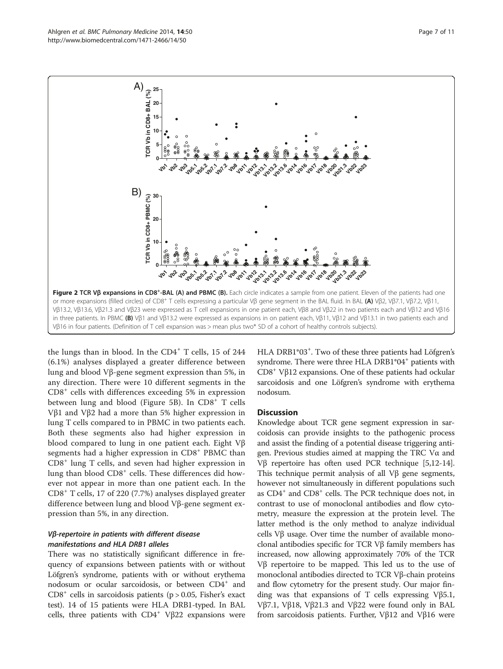<span id="page-6-0"></span>

the lungs than in blood. In the  $CD4^+$  T cells, 15 of 244 (6.1%) analyses displayed a greater difference between lung and blood Vβ-gene segment expression than 5%, in any direction. There were 10 different segments in the  $CD8<sup>+</sup>$  cells with differences exceeding 5% in expression between lung and blood (Figure [5](#page-8-0)B). In CD8<sup>+</sup> T cells Vβ1 and Vβ2 had a more than 5% higher expression in lung T cells compared to in PBMC in two patients each. Both these segments also had higher expression in blood compared to lung in one patient each. Eight Vβ segments had a higher expression in CD8<sup>+</sup> PBMC than CD8<sup>+</sup> lung T cells, and seven had higher expression in lung than blood CD8<sup>+</sup> cells. These differences did however not appear in more than one patient each. In the CD8<sup>+</sup> T cells, 17 of 220 (7.7%) analyses displayed greater difference between lung and blood Vβ-gene segment expression than 5%, in any direction.

#### Vβ-repertoire in patients with different disease manifestations and HLA DRB1 alleles

There was no statistically significant difference in frequency of expansions between patients with or without Löfgren's syndrome, patients with or without erythema nodosum or ocular sarcoidosis, or between CD4<sup>+</sup> and  $CD8<sup>+</sup>$  cells in sarcoidosis patients (p > 0.05, Fisher's exact test). 14 of 15 patients were HLA DRB1-typed. In BAL cells, three patients with  $CD4^+$  Vβ22 expansions were HLA DRB1\*03<sup>+</sup>. Two of these three patients had Löfgren's syndrome. There were three HLA DRB1\*04<sup>+</sup> patients with CD8+ Vβ12 expansions. One of these patients had ockular sarcoidosis and one Löfgren's syndrome with erythema nodosum.

#### **Discussion**

Knowledge about TCR gene segment expression in sarcoidosis can provide insights to the pathogenic process and assist the finding of a potential disease triggering antigen. Previous studies aimed at mapping the TRC Vα and Vβ repertoire has often used PCR technique [[5,12](#page-10-0)-[14](#page-10-0)]. This technique permit analysis of all Vβ gene segments, however not simultaneously in different populations such as CD4+ and CD8+ cells. The PCR technique does not, in contrast to use of monoclonal antibodies and flow cytometry, measure the expression at the protein level. The latter method is the only method to analyze individual cells  $Vβ$  usage. Over time the number of available monoclonal antibodies specific for TCR Vβ family members has increased, now allowing approximately 70% of the TCR Vβ repertoire to be mapped. This led us to the use of monoclonal antibodies directed to TCR Vβ-chain proteins and flow cytometry for the present study. Our major finding was that expansions of T cells expressing  $Vβ5.1$ , Vβ7.1, Vβ18, Vβ21.3 and Vβ22 were found only in BAL from sarcoidosis patients. Further, Vβ12 and Vβ16 were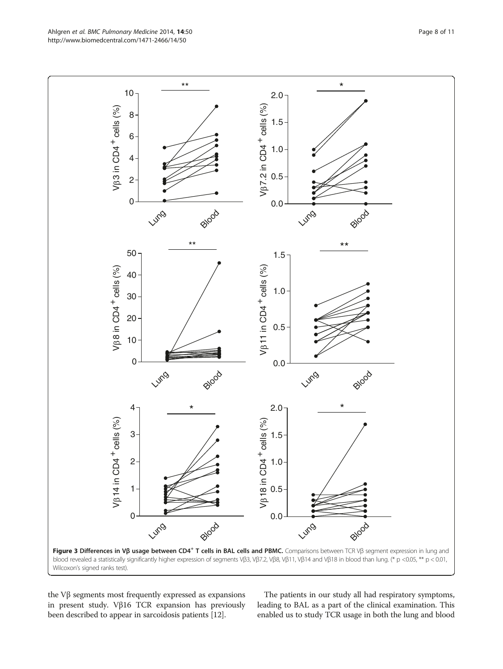the Vβ segments most frequently expressed as expansions in present study. Vβ16 TCR expansion has previously been described to appear in sarcoidosis patients [[12](#page-10-0)].

The patients in our study all had respiratory symptoms, leading to BAL as a part of the clinical examination. This enabled us to study TCR usage in both the lung and blood

<span id="page-7-0"></span>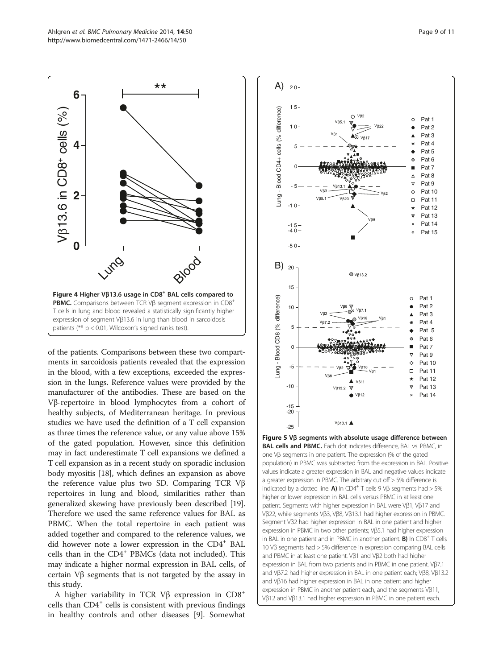<span id="page-8-0"></span>

of the patients. Comparisons between these two compartments in sarcoidosis patients revealed that the expression in the blood, with a few exceptions, exceeded the expression in the lungs. Reference values were provided by the manufacturer of the antibodies. These are based on the Vβ-repertoire in blood lymphocytes from a cohort of healthy subjects, of Mediterranean heritage. In previous studies we have used the definition of a T cell expansion as three times the reference value, or any value above 15% of the gated population. However, since this definition may in fact underestimate T cell expansions we defined a T cell expansion as in a recent study on sporadic inclusion body myositis [[18](#page-10-0)], which defines an expansion as above the reference value plus two SD. Comparing TCR Vβ repertoires in lung and blood, similarities rather than generalized skewing have previously been described [[19](#page-10-0)]. Therefore we used the same reference values for BAL as PBMC. When the total repertoire in each patient was added together and compared to the reference values, we did however note a lower expression in the CD4<sup>+</sup> BAL cells than in the CD4<sup>+</sup> PBMCs (data not included). This may indicate a higher normal expression in BAL cells, of certain Vβ segments that is not targeted by the assay in this study.

A higher variability in TCR Vβ expression in  $CD8^+$ cells than  $CD4^+$  cells is consistent with previous findings in healthy controls and other diseases [\[9](#page-10-0)]. Somewhat



Figure 5 Vβ segments with absolute usage difference between **BAL cells and PBMC.** Each dot indicates difference, BAL vs. PBMC, in one Vβ segments in one patient. The expression (% of the gated population) in PBMC was subtracted from the expression in BAL. Positive values indicate a greater expression in BAL and negative values indicate a greater expression in PBMC. The arbitrary cut off > 5% difference is indicated by a dotted line. A) In CD4<sup>+</sup> T cells 9 V $\beta$  segments had > 5% higher or lower expression in BAL cells versus PBMC in at least one patient. Segments with higher expression in BAL were Vβ1, Vβ17 and Vβ22, while segments Vβ3, Vβ8, Vβ13.1 had higher expression in PBMC. Segment Vβ2 had higher expression in BAL in one patient and higher expression in PBMC in two other patients; Vβ5.1 had higher expression in BAL in one patient and in PBMC in another patient.  $\bf{B}$ ) In CD8<sup>+</sup> T cells 10 Vβ segments had > 5% difference in expression comparing BAL cells and PBMC in at least one patient. Vβ1 and Vβ2 both had higher expression in BAL from two patients and in PBMC in one patient. Vβ7.1 and Vβ7.2 had higher expression in BAL in one patient each; Vβ8, Vβ13.2 and Vβ16 had higher expression in BAL in one patient and higher expression in PBMC in another patient each, and the segments Vβ11, Vβ12 and Vβ13.1 had higher expression in PBMC in one patient each.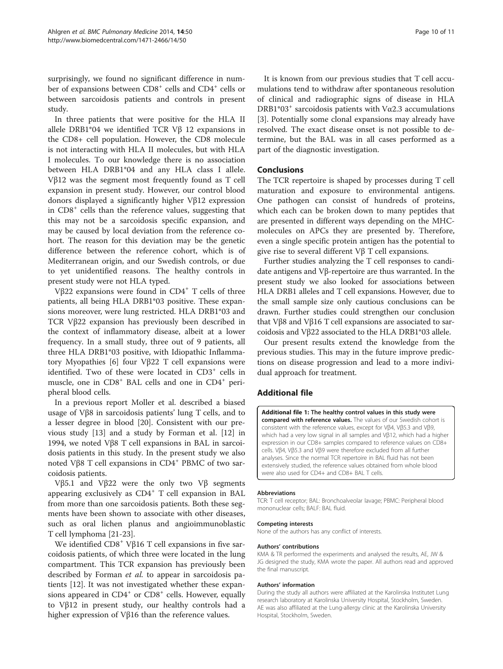<span id="page-9-0"></span>surprisingly, we found no significant difference in number of expansions between CD8<sup>+</sup> cells and CD4<sup>+</sup> cells or between sarcoidosis patients and controls in present study.

In three patients that were positive for the HLA II allele DRB1\*04 we identified TCR Vβ 12 expansions in the CD8+ cell population. However, the CD8 molecule is not interacting with HLA II molecules, but with HLA I molecules. To our knowledge there is no association between HLA DRB1\*04 and any HLA class I allele. Vβ12 was the segment most frequently found as T cell expansion in present study. However, our control blood donors displayed a significantly higher Vβ12 expression in  $CD8<sup>+</sup>$  cells than the reference values, suggesting that this may not be a sarcoidosis specific expansion, and may be caused by local deviation from the reference cohort. The reason for this deviation may be the genetic difference between the reference cohort, which is of Mediterranean origin, and our Swedish controls, or due to yet unidentified reasons. The healthy controls in present study were not HLA typed.

Vβ22 expansions were found in  $CD4^+$  T cells of three patients, all being HLA DRB1\*03 positive. These expansions moreover, were lung restricted. HLA DRB1\*03 and TCR Vβ22 expansion has previously been described in the context of inflammatory disease, albeit at a lower frequency. In a small study, three out of 9 patients, all three HLA DRB1\*03 positive, with Idiopathic Inflammatory Myopathies [[6\]](#page-10-0) four Vβ22 T cell expansions were identified. Two of these were located in CD3<sup>+</sup> cells in muscle, one in CD8<sup>+</sup> BAL cells and one in CD4<sup>+</sup> peripheral blood cells.

In a previous report Moller et al. described a biased usage of Vβ8 in sarcoidosis patients' lung T cells, and to a lesser degree in blood [\[20\]](#page-10-0). Consistent with our previous study [\[13](#page-10-0)] and a study by Forman et al. [[12\]](#page-10-0) in 1994, we noted Vβ8 T cell expansions in BAL in sarcoidosis patients in this study. In the present study we also noted Vβ8 T cell expansions in CD4<sup>+</sup> PBMC of two sarcoidosis patients.

Vβ5.1 and Vβ22 were the only two Vβ segments appearing exclusively as CD4<sup>+</sup> T cell expansion in BAL from more than one sarcoidosis patients. Both these segments have been shown to associate with other diseases, such as oral lichen planus and angioimmunoblastic T cell lymphoma [[21](#page-10-0)-[23\]](#page-10-0).

We identified  $CD8<sup>+</sup>$  Vβ16 T cell expansions in five sarcoidosis patients, of which three were located in the lung compartment. This TCR expansion has previously been described by Forman *et al.* to appear in sarcoidosis patients [[12\]](#page-10-0). It was not investigated whether these expansions appeared in  $CD4^+$  or  $CD8^+$  cells. However, equally to Vβ12 in present study, our healthy controls had a higher expression of Vβ16 than the reference values.

It is known from our previous studies that T cell accumulations tend to withdraw after spontaneous resolution of clinical and radiographic signs of disease in HLA DRB1\*03<sup>+</sup> sarcoidosis patients with V $\alpha$ 2.3 accumulations [[3\]](#page-10-0). Potentially some clonal expansions may already have resolved. The exact disease onset is not possible to determine, but the BAL was in all cases performed as a part of the diagnostic investigation.

#### Conclusions

The TCR repertoire is shaped by processes during T cell maturation and exposure to environmental antigens. One pathogen can consist of hundreds of proteins, which each can be broken down to many peptides that are presented in different ways depending on the MHCmolecules on APCs they are presented by. Therefore, even a single specific protein antigen has the potential to give rise to several different  $Vβ T$  cell expansions.

Further studies analyzing the T cell responses to candidate antigens and Vβ-repertoire are thus warranted. In the present study we also looked for associations between HLA DRB1 alleles and T cell expansions. However, due to the small sample size only cautious conclusions can be drawn. Further studies could strengthen our conclusion that Vβ8 and Vβ16 T cell expansions are associated to sarcoidosis and Vβ22 associated to the HLA DRB1\*03 allele.

Our present results extend the knowledge from the previous studies. This may in the future improve predictions on disease progression and lead to a more individual approach for treatment.

#### Additional file

[Additional file 1:](http://www.biomedcentral.com/content/supplementary/1471-2466-14-50-S1.pdf) The healthy control values in this study were compared with reference values. The values of our Swedish cohort is consistent with the reference values, except for Vβ4, Vβ5.3 and Vβ9, which had a very low signal in all samples and Vβ12, which had a higher expression in our CD8+ samples compared to reference values on CD8+ cells. Vβ4, Vβ5.3 and Vβ9 were therefore excluded from all further analyses. Since the normal TCR repertoire in BAL fluid has not been extensively studied, the reference values obtained from whole blood were also used for CD4+ and CD8+ BAL T cells.

#### Abbreviations

TCR: T cell receptor; BAL: Bronchoalveolar lavage; PBMC: Peripheral blood mononuclear cells; BALF: BAL fluid.

#### Competing interests

None of the authors has any conflict of interests.

#### Authors' contributions

KMA & TR performed the experiments and analysed the results, AE, JW & JG designed the study, KMA wrote the paper. All authors read and approved the final manuscript.

#### Authors' information

During the study all authors were affiliated at the Karolinska Institutet Lung research laboratory at Karolinska University Hospital, Stockholm, Sweden. AE was also affiliated at the Lung-allergy clinic at the Karolinska University Hospital, Stockholm, Sweden.